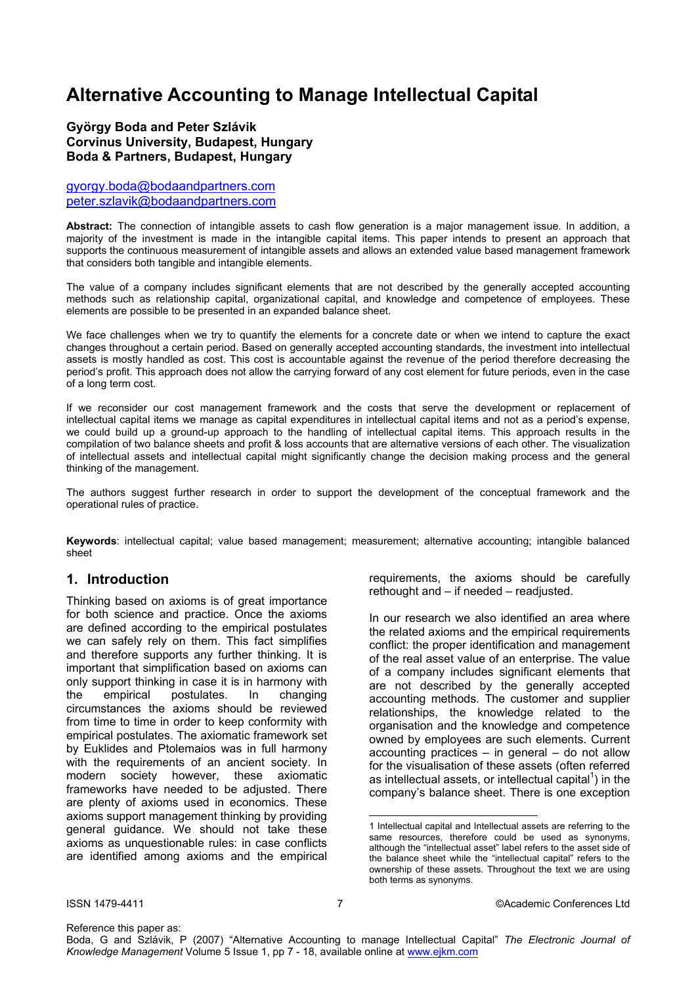# **Alternative Accounting to Manage Intellectual Capital**

#### **György Boda and Peter Szlávik Corvinus University, Budapest, Hungary Boda & Partners, Budapest, Hungary**

gyorgy.boda@bodaandpartners.com peter.szlavik@bodaandpartners.com

**Abstract:** The connection of intangible assets to cash flow generation is a major management issue. In addition, a majority of the investment is made in the intangible capital items. This paper intends to present an approach that supports the continuous measurement of intangible assets and allows an extended value based management framework that considers both tangible and intangible elements.

The value of a company includes significant elements that are not described by the generally accepted accounting methods such as relationship capital, organizational capital, and knowledge and competence of employees. These elements are possible to be presented in an expanded balance sheet.

We face challenges when we try to quantify the elements for a concrete date or when we intend to capture the exact changes throughout a certain period. Based on generally accepted accounting standards, the investment into intellectual assets is mostly handled as cost. This cost is accountable against the revenue of the period therefore decreasing the period's profit. This approach does not allow the carrying forward of any cost element for future periods, even in the case of a long term cost.

If we reconsider our cost management framework and the costs that serve the development or replacement of intellectual capital items we manage as capital expenditures in intellectual capital items and not as a period's expense, we could build up a ground-up approach to the handling of intellectual capital items. This approach results in the compilation of two balance sheets and profit & loss accounts that are alternative versions of each other. The visualization of intellectual assets and intellectual capital might significantly change the decision making process and the general thinking of the management.

The authors suggest further research in order to support the development of the conceptual framework and the operational rules of practice.

**Keywords**: intellectual capital; value based management; measurement; alternative accounting; intangible balanced sheet

#### **1. Introduction**

Thinking based on axioms is of great importance for both science and practice. Once the axioms are defined according to the empirical postulates we can safely rely on them. This fact simplifies and therefore supports any further thinking. It is important that simplification based on axioms can only support thinking in case it is in harmony with the empirical postulates. In changing circumstances the axioms should be reviewed from time to time in order to keep conformity with empirical postulates. The axiomatic framework set by Euklides and Ptolemaios was in full harmony with the requirements of an ancient society. In modern society however, these axiomatic frameworks have needed to be adjusted. There are plenty of axioms used in economics. These axioms support management thinking by providing general guidance. We should not take these axioms as unquestionable rules: in case conflicts are identified among axioms and the empirical requirements, the axioms should be carefully rethought and – if needed – readjusted.

In our research we also identified an area where the related axioms and the empirical requirements conflict: the proper identification and management of the real asset value of an enterprise. The value of a company includes significant elements that are not described by the generally accepted accounting methods. The customer and supplier relationships, the knowledge related to the organisation and the knowledge and competence owned by employees are such elements. Current  $accounting\ practices - in general - do not allow$ for the visualisation of these assets (often referred as intellectual assets, or intellectual capital $^1$ ) in the company's balance sheet. There is one exception

 $\overline{a}$ 

<sup>1</sup> Intellectual capital and Intellectual assets are referring to the same resources, therefore could be used as synonyms, although the "intellectual asset" label refers to the asset side of the balance sheet while the "intellectual capital" refers to the ownership of these assets. Throughout the text we are using both terms as synonyms.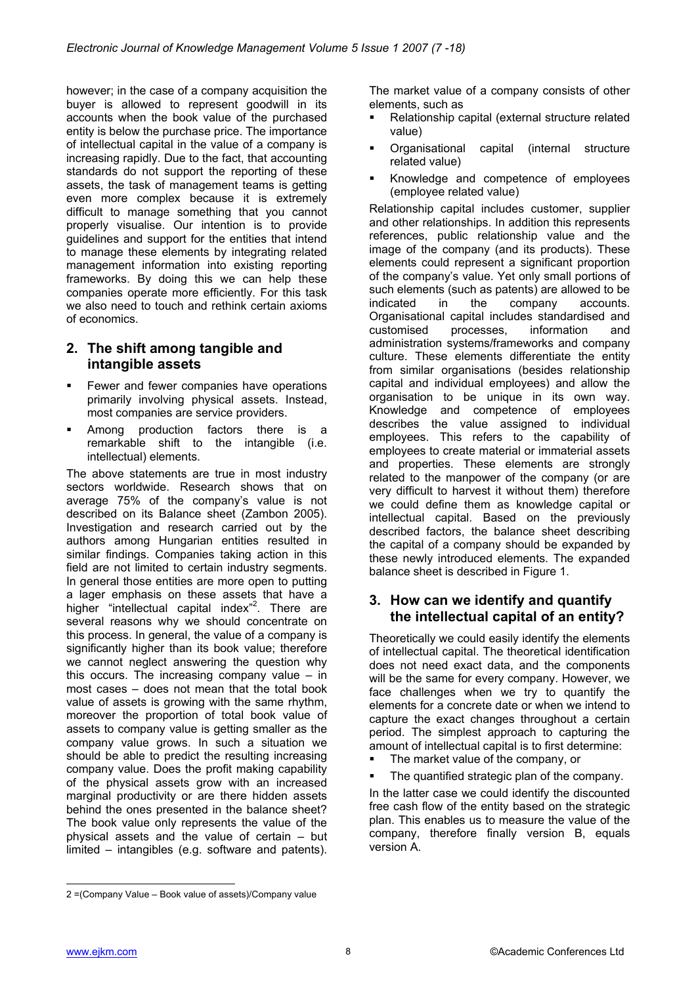however; in the case of a company acquisition the buyer is allowed to represent goodwill in its accounts when the book value of the purchased entity is below the purchase price. The importance of intellectual capital in the value of a company is increasing rapidly. Due to the fact, that accounting standards do not support the reporting of these assets, the task of management teams is getting even more complex because it is extremely difficult to manage something that you cannot properly visualise. Our intention is to provide guidelines and support for the entities that intend to manage these elements by integrating related management information into existing reporting frameworks. By doing this we can help these companies operate more efficiently. For this task we also need to touch and rethink certain axioms of economics.

#### **2. The shift among tangible and intangible assets**

- Fewer and fewer companies have operations primarily involving physical assets. Instead, most companies are service providers.
- Among production factors there is a remarkable shift to the intangible (i.e. intellectual) elements.

The above statements are true in most industry sectors worldwide. Research shows that on average 75% of the company's value is not described on its Balance sheet (Zambon 2005). Investigation and research carried out by the authors among Hungarian entities resulted in similar findings. Companies taking action in this field are not limited to certain industry segments. In general those entities are more open to putting a lager emphasis on these assets that have a higher "intellectual capital index"<sup>2</sup>. There are several reasons why we should concentrate on this process. In general, the value of a company is significantly higher than its book value; therefore we cannot neglect answering the question why this occurs. The increasing company value – in most cases – does not mean that the total book value of assets is growing with the same rhythm, moreover the proportion of total book value of assets to company value is getting smaller as the company value grows. In such a situation we should be able to predict the resulting increasing company value. Does the profit making capability of the physical assets grow with an increased marginal productivity or are there hidden assets behind the ones presented in the balance sheet? The book value only represents the value of the physical assets and the value of certain – but limited – intangibles (e.g. software and patents).

- Relationship capital (external structure related value)
- Organisational capital (internal structure related value)
- Knowledge and competence of employees (employee related value)

Relationship capital includes customer, supplier and other relationships. In addition this represents references, public relationship value and the image of the company (and its products). These elements could represent a significant proportion of the company's value. Yet only small portions of such elements (such as patents) are allowed to be indicated in the company accounts. Organisational capital includes standardised and customised processes, information and administration systems/frameworks and company culture. These elements differentiate the entity from similar organisations (besides relationship capital and individual employees) and allow the organisation to be unique in its own way. Knowledge and competence of employees describes the value assigned to individual employees. This refers to the capability of employees to create material or immaterial assets and properties. These elements are strongly related to the manpower of the company (or are very difficult to harvest it without them) therefore we could define them as knowledge capital or intellectual capital. Based on the previously described factors, the balance sheet describing the capital of a company should be expanded by these newly introduced elements. The expanded balance sheet is described in Figure 1.

#### **3. How can we identify and quantify the intellectual capital of an entity?**

Theoretically we could easily identify the elements of intellectual capital. The theoretical identification does not need exact data, and the components will be the same for every company. However, we face challenges when we try to quantify the elements for a concrete date or when we intend to capture the exact changes throughout a certain period. The simplest approach to capturing the amount of intellectual capital is to first determine:

- The market value of the company, or
- The quantified strategic plan of the company.

In the latter case we could identify the discounted free cash flow of the entity based on the strategic plan. This enables us to measure the value of the company, therefore finally version B, equals version A.

l

The market value of a company consists of other elements, such as

<sup>2 =(</sup>Company Value – Book value of assets)/Company value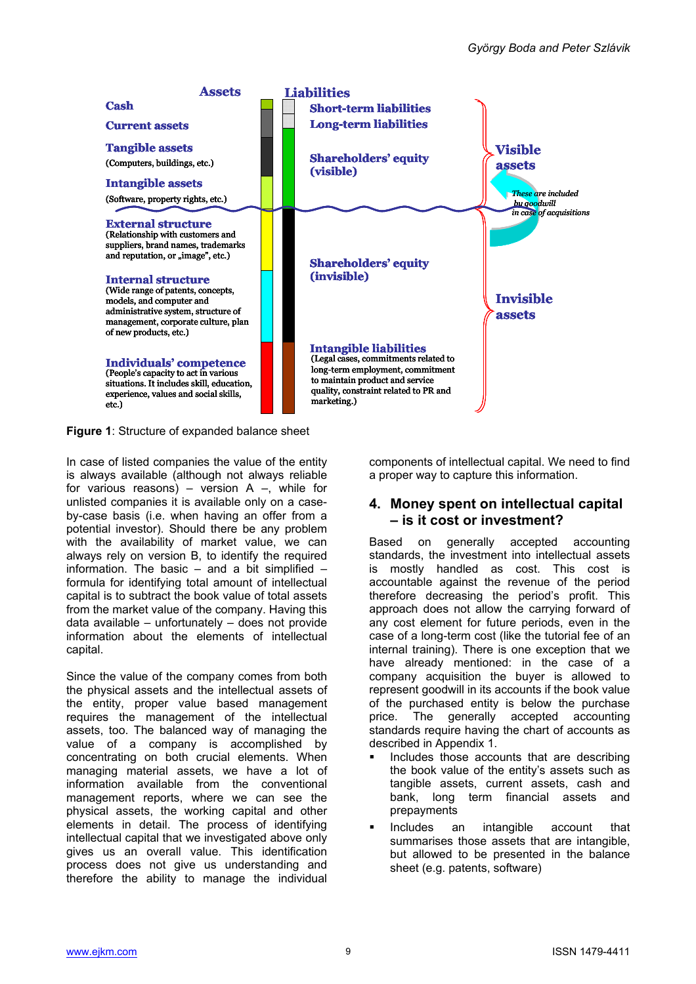

**Figure 1**: Structure of expanded balance sheet

In case of listed companies the value of the entity is always available (although not always reliable for various reasons) – version  $A -$ , while for unlisted companies it is available only on a caseby-case basis (i.e. when having an offer from a potential investor). Should there be any problem with the availability of market value, we can always rely on version B, to identify the required information. The basic  $-$  and a bit simplified  $$ formula for identifying total amount of intellectual capital is to subtract the book value of total assets from the market value of the company. Having this data available – unfortunately – does not provide information about the elements of intellectual capital.

Since the value of the company comes from both the physical assets and the intellectual assets of the entity, proper value based management requires the management of the intellectual assets, too. The balanced way of managing the value of a company is accomplished by concentrating on both crucial elements. When managing material assets, we have a lot of information available from the conventional management reports, where we can see the physical assets, the working capital and other elements in detail. The process of identifying intellectual capital that we investigated above only gives us an overall value. This identification process does not give us understanding and therefore the ability to manage the individual

components of intellectual capital. We need to find a proper way to capture this information.

#### **4. Money spent on intellectual capital – is it cost or investment?**

Based on generally accepted accounting standards, the investment into intellectual assets is mostly handled as cost. This cost is accountable against the revenue of the period therefore decreasing the period's profit. This approach does not allow the carrying forward of any cost element for future periods, even in the case of a long-term cost (like the tutorial fee of an internal training). There is one exception that we have already mentioned: in the case of a company acquisition the buyer is allowed to represent goodwill in its accounts if the book value of the purchased entity is below the purchase price. The generally accepted accounting standards require having the chart of accounts as described in Appendix 1.

- Includes those accounts that are describing the book value of the entity's assets such as tangible assets, current assets, cash and bank, long term financial assets and prepayments
- Includes an intangible account that summarises those assets that are intangible, but allowed to be presented in the balance sheet (e.g. patents, software)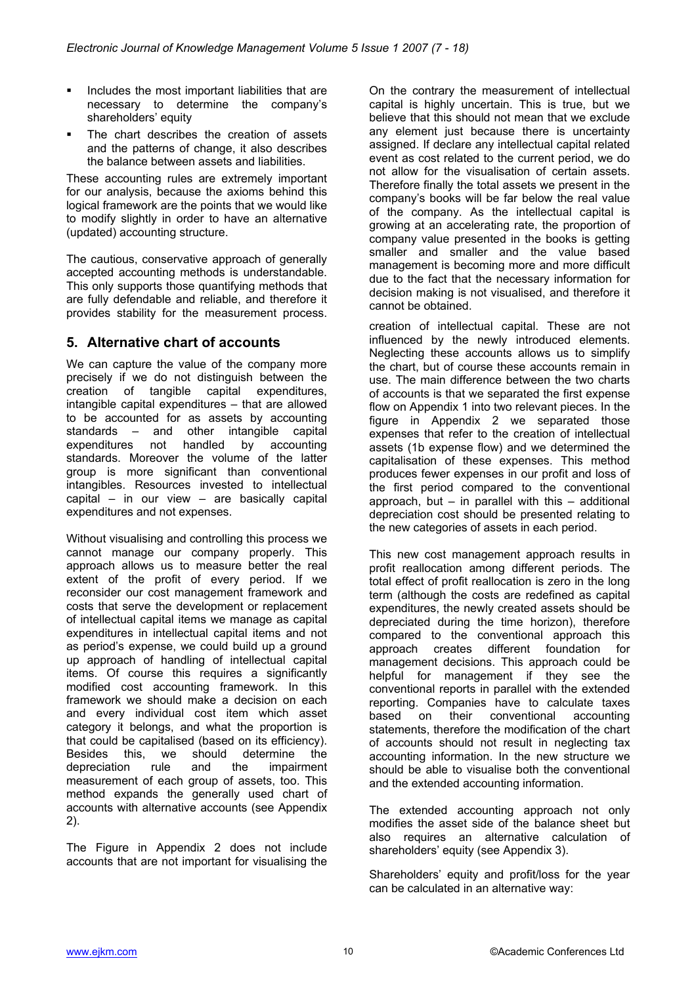- Includes the most important liabilities that are necessary to determine the company's shareholders' equity
- The chart describes the creation of assets and the patterns of change, it also describes the balance between assets and liabilities.

These accounting rules are extremely important for our analysis, because the axioms behind this logical framework are the points that we would like to modify slightly in order to have an alternative (updated) accounting structure.

The cautious, conservative approach of generally accepted accounting methods is understandable. This only supports those quantifying methods that are fully defendable and reliable, and therefore it provides stability for the measurement process.

# **5. Alternative chart of accounts**

We can capture the value of the company more precisely if we do not distinguish between the creation of tangible capital expenditures, intangible capital expenditures – that are allowed to be accounted for as assets by accounting standards – and other intangible capital expenditures not handled by accounting standards. Moreover the volume of the latter group is more significant than conventional intangibles. Resources invested to intellectual capital – in our view – are basically capital expenditures and not expenses.

Without visualising and controlling this process we cannot manage our company properly. This approach allows us to measure better the real extent of the profit of every period. If we reconsider our cost management framework and costs that serve the development or replacement of intellectual capital items we manage as capital expenditures in intellectual capital items and not as period's expense, we could build up a ground up approach of handling of intellectual capital items. Of course this requires a significantly modified cost accounting framework. In this framework we should make a decision on each and every individual cost item which asset category it belongs, and what the proportion is that could be capitalised (based on its efficiency). Besides this, we should determine the depreciation rule and the impairment measurement of each group of assets, too. This method expands the generally used chart of accounts with alternative accounts (see Appendix 2).

The Figure in Appendix 2 does not include accounts that are not important for visualising the On the contrary the measurement of intellectual capital is highly uncertain. This is true, but we believe that this should not mean that we exclude any element just because there is uncertainty assigned. If declare any intellectual capital related event as cost related to the current period, we do not allow for the visualisation of certain assets. Therefore finally the total assets we present in the company's books will be far below the real value of the company. As the intellectual capital is growing at an accelerating rate, the proportion of company value presented in the books is getting smaller and smaller and the value based management is becoming more and more difficult due to the fact that the necessary information for decision making is not visualised, and therefore it cannot be obtained.

creation of intellectual capital. These are not influenced by the newly introduced elements. Neglecting these accounts allows us to simplify the chart, but of course these accounts remain in use. The main difference between the two charts of accounts is that we separated the first expense flow on Appendix 1 into two relevant pieces. In the figure in Appendix 2 we separated those expenses that refer to the creation of intellectual assets (1b expense flow) and we determined the capitalisation of these expenses. This method produces fewer expenses in our profit and loss of the first period compared to the conventional approach, but  $-$  in parallel with this  $-$  additional depreciation cost should be presented relating to the new categories of assets in each period.

This new cost management approach results in profit reallocation among different periods. The total effect of profit reallocation is zero in the long term (although the costs are redefined as capital expenditures, the newly created assets should be depreciated during the time horizon), therefore compared to the conventional approach this approach creates different foundation for management decisions. This approach could be helpful for management if they see the conventional reports in parallel with the extended reporting. Companies have to calculate taxes based on their conventional accounting statements, therefore the modification of the chart of accounts should not result in neglecting tax accounting information. In the new structure we should be able to visualise both the conventional and the extended accounting information.

The extended accounting approach not only modifies the asset side of the balance sheet but also requires an alternative calculation of shareholders' equity (see Appendix 3).

Shareholders' equity and profit/loss for the year can be calculated in an alternative way: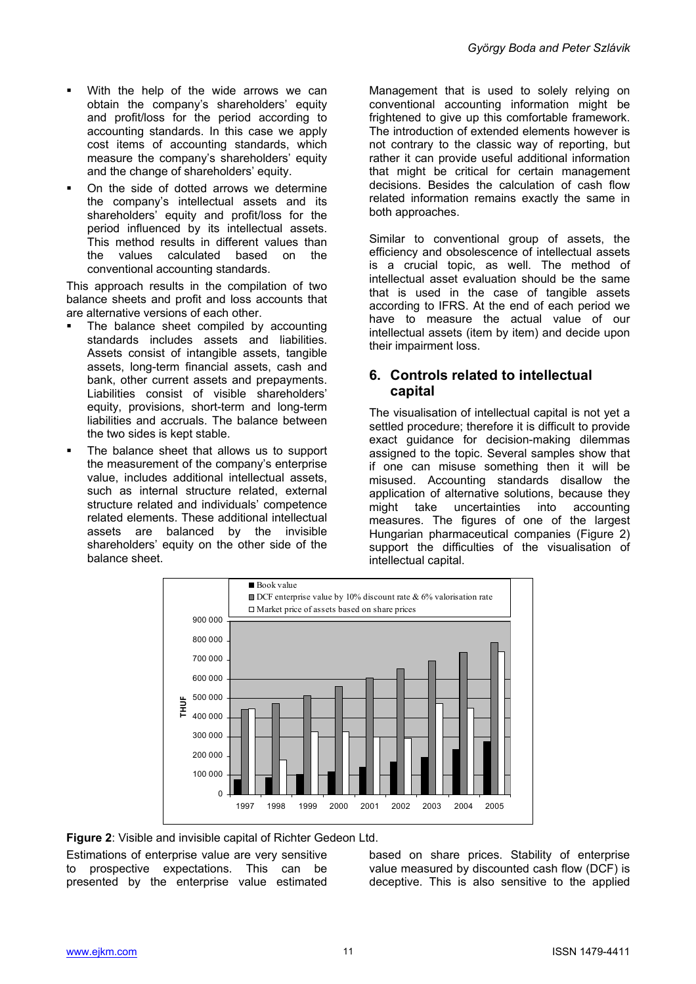- With the help of the wide arrows we can obtain the company's shareholders' equity and profit/loss for the period according to accounting standards. In this case we apply cost items of accounting standards, which measure the company's shareholders' equity and the change of shareholders' equity.
- On the side of dotted arrows we determine the company's intellectual assets and its shareholders' equity and profit/loss for the period influenced by its intellectual assets. This method results in different values than the values calculated based on the conventional accounting standards.

This approach results in the compilation of two balance sheets and profit and loss accounts that are alternative versions of each other.

- The balance sheet compiled by accounting standards includes assets and liabilities. Assets consist of intangible assets, tangible assets, long-term financial assets, cash and bank, other current assets and prepayments. Liabilities consist of visible shareholders' equity, provisions, short-term and long-term liabilities and accruals. The balance between the two sides is kept stable.
- The balance sheet that allows us to support the measurement of the company's enterprise value, includes additional intellectual assets, such as internal structure related, external structure related and individuals' competence related elements. These additional intellectual assets are balanced by the invisible shareholders' equity on the other side of the balance sheet.

Management that is used to solely relying on conventional accounting information might be frightened to give up this comfortable framework. The introduction of extended elements however is not contrary to the classic way of reporting, but rather it can provide useful additional information that might be critical for certain management decisions. Besides the calculation of cash flow related information remains exactly the same in both approaches.

Similar to conventional group of assets, the efficiency and obsolescence of intellectual assets is a crucial topic, as well. The method of intellectual asset evaluation should be the same that is used in the case of tangible assets according to IFRS. At the end of each period we have to measure the actual value of our intellectual assets (item by item) and decide upon their impairment loss.

#### **6. Controls related to intellectual capital**

The visualisation of intellectual capital is not yet a settled procedure; therefore it is difficult to provide exact guidance for decision-making dilemmas assigned to the topic. Several samples show that if one can misuse something then it will be misused. Accounting standards disallow the application of alternative solutions, because they might take uncertainties into accounting measures. The figures of one of the largest Hungarian pharmaceutical companies (Figure 2) support the difficulties of the visualisation of intellectual capital.



**Figure 2**: Visible and invisible capital of Richter Gedeon Ltd.

Estimations of enterprise value are very sensitive to prospective expectations. This can be presented by the enterprise value estimated based on share prices. Stability of enterprise value measured by discounted cash flow (DCF) is deceptive. This is also sensitive to the applied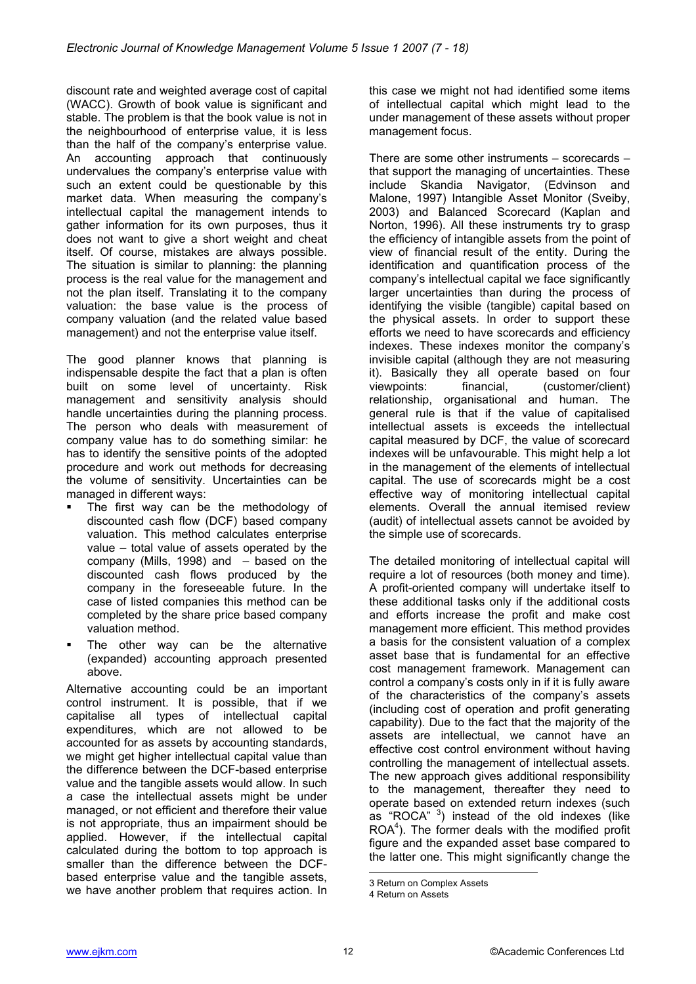discount rate and weighted average cost of capital (WACC). Growth of book value is significant and stable. The problem is that the book value is not in the neighbourhood of enterprise value, it is less than the half of the company's enterprise value. An accounting approach that continuously undervalues the company's enterprise value with such an extent could be questionable by this market data. When measuring the company's intellectual capital the management intends to gather information for its own purposes, thus it does not want to give a short weight and cheat itself. Of course, mistakes are always possible. The situation is similar to planning: the planning process is the real value for the management and not the plan itself. Translating it to the company valuation: the base value is the process of company valuation (and the related value based management) and not the enterprise value itself.

The good planner knows that planning is indispensable despite the fact that a plan is often built on some level of uncertainty. Risk management and sensitivity analysis should handle uncertainties during the planning process. The person who deals with measurement of company value has to do something similar: he has to identify the sensitive points of the adopted procedure and work out methods for decreasing the volume of sensitivity. Uncertainties can be managed in different ways:

- The first way can be the methodology of discounted cash flow (DCF) based company valuation. This method calculates enterprise value – total value of assets operated by the company (Mills, 1998) and – based on the discounted cash flows produced by the company in the foreseeable future. In the case of listed companies this method can be completed by the share price based company valuation method.
- The other way can be the alternative (expanded) accounting approach presented above.

Alternative accounting could be an important control instrument. It is possible, that if we capitalise all types of intellectual capital expenditures, which are not allowed to be accounted for as assets by accounting standards, we might get higher intellectual capital value than the difference between the DCF-based enterprise value and the tangible assets would allow. In such a case the intellectual assets might be under managed, or not efficient and therefore their value is not appropriate, thus an impairment should be applied. However, if the intellectual capital calculated during the bottom to top approach is smaller than the difference between the DCFbased enterprise value and the tangible assets, we have another problem that requires action. In

this case we might not had identified some items of intellectual capital which might lead to the under management of these assets without proper management focus.

There are some other instruments – scorecards – that support the managing of uncertainties. These include Skandia Navigator, (Edvinson and Malone, 1997) Intangible Asset Monitor (Sveiby, 2003) and Balanced Scorecard (Kaplan and Norton, 1996). All these instruments try to grasp the efficiency of intangible assets from the point of view of financial result of the entity. During the identification and quantification process of the company's intellectual capital we face significantly larger uncertainties than during the process of identifying the visible (tangible) capital based on the physical assets. In order to support these efforts we need to have scorecards and efficiency indexes. These indexes monitor the company's invisible capital (although they are not measuring it). Basically they all operate based on four viewpoints: financial, (customer/client) relationship, organisational and human. The general rule is that if the value of capitalised intellectual assets is exceeds the intellectual capital measured by DCF, the value of scorecard indexes will be unfavourable. This might help a lot in the management of the elements of intellectual capital. The use of scorecards might be a cost effective way of monitoring intellectual capital elements. Overall the annual itemised review (audit) of intellectual assets cannot be avoided by the simple use of scorecards.

The detailed monitoring of intellectual capital will require a lot of resources (both money and time). A profit-oriented company will undertake itself to these additional tasks only if the additional costs and efforts increase the profit and make cost management more efficient. This method provides a basis for the consistent valuation of a complex asset base that is fundamental for an effective cost management framework. Management can control a company's costs only in if it is fully aware of the characteristics of the company's assets (including cost of operation and profit generating capability). Due to the fact that the majority of the assets are intellectual, we cannot have an effective cost control environment without having controlling the management of intellectual assets. The new approach gives additional responsibility to the management, thereafter they need to operate based on extended return indexes (such as "ROCA"  $3$ ) instead of the old indexes (like ROA<sup>4</sup>). The former deals with the modified profit figure and the expanded asset base compared to the latter one. This might significantly change the

l

<sup>3</sup> Return on Complex Assets

<sup>4</sup> Return on Assets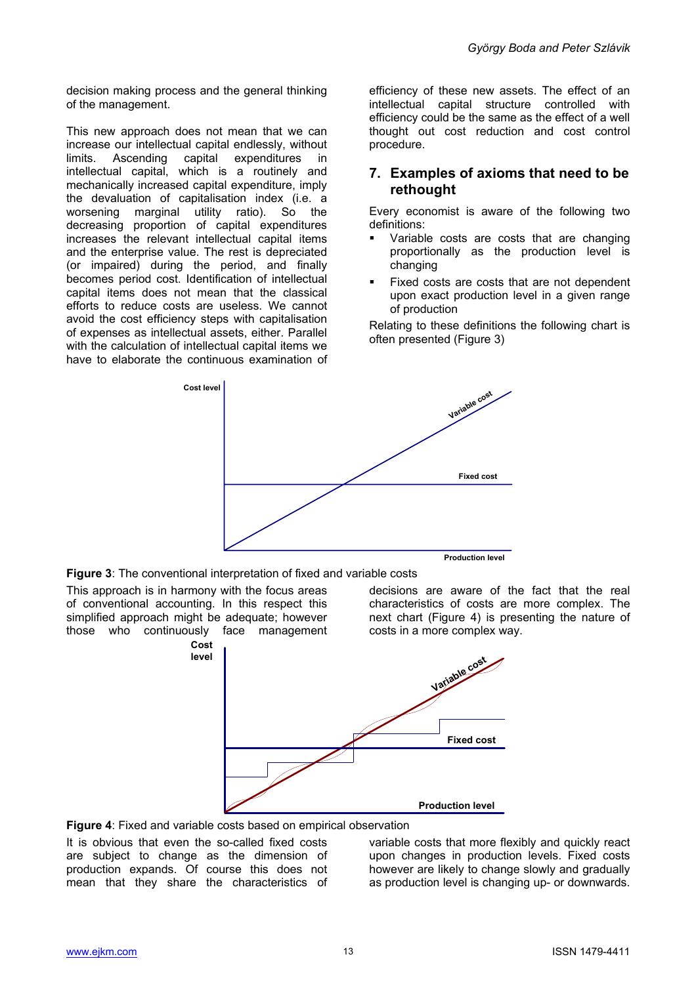decision making process and the general thinking of the management.

This new approach does not mean that we can increase our intellectual capital endlessly, without limits. Ascending capital expenditures in intellectual capital, which is a routinely and mechanically increased capital expenditure, imply the devaluation of capitalisation index (i.e. a worsening marginal utility ratio). So the decreasing proportion of capital expenditures increases the relevant intellectual capital items and the enterprise value. The rest is depreciated (or impaired) during the period, and finally becomes period cost. Identification of intellectual capital items does not mean that the classical efforts to reduce costs are useless. We cannot avoid the cost efficiency steps with capitalisation of expenses as intellectual assets, either. Parallel with the calculation of intellectual capital items we have to elaborate the continuous examination of efficiency of these new assets. The effect of an intellectual capital structure controlled with efficiency could be the same as the effect of a well thought out cost reduction and cost control procedure.

#### **7. Examples of axioms that need to be rethought**

Every economist is aware of the following two definitions:

- Variable costs are costs that are changing proportionally as the production level is changing
- Fixed costs are costs that are not dependent upon exact production level in a given range of production

Relating to these definitions the following chart is often presented (Figure 3)



**Figure 3**: The conventional interpretation of fixed and variable costs

This approach is in harmony with the focus areas of conventional accounting. In this respect this simplified approach might be adequate; however those who continuously face management decisions are aware of the fact that the real characteristics of costs are more complex. The next chart (Figure 4) is presenting the nature of costs in a more complex way.



**Figure 4**: Fixed and variable costs based on empirical observation

It is obvious that even the so-called fixed costs are subject to change as the dimension of production expands. Of course this does not mean that they share the characteristics of

variable costs that more flexibly and quickly react upon changes in production levels. Fixed costs however are likely to change slowly and gradually as production level is changing up- or downwards.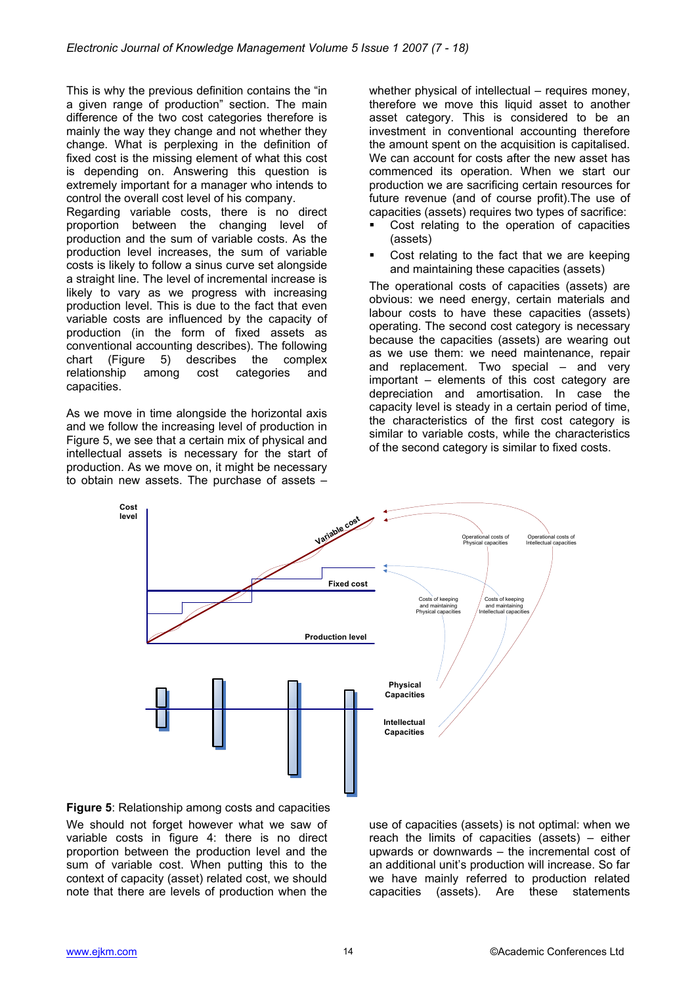This is why the previous definition contains the "in a given range of production" section. The main difference of the two cost categories therefore is mainly the way they change and not whether they change. What is perplexing in the definition of fixed cost is the missing element of what this cost is depending on. Answering this question is extremely important for a manager who intends to control the overall cost level of his company.

Regarding variable costs, there is no direct proportion between the changing level of production and the sum of variable costs. As the production level increases, the sum of variable costs is likely to follow a sinus curve set alongside a straight line. The level of incremental increase is likely to vary as we progress with increasing production level. This is due to the fact that even variable costs are influenced by the capacity of production (in the form of fixed assets as conventional accounting describes). The following chart (Figure 5) describes the complex relationship among cost categories and capacities.

As we move in time alongside the horizontal axis and we follow the increasing level of production in Figure 5, we see that a certain mix of physical and intellectual assets is necessary for the start of production. As we move on, it might be necessary to obtain new assets. The purchase of assets –

whether physical of intellectual – requires money, therefore we move this liquid asset to another asset category. This is considered to be an investment in conventional accounting therefore the amount spent on the acquisition is capitalised. We can account for costs after the new asset has commenced its operation. When we start our production we are sacrificing certain resources for future revenue (and of course profit).The use of capacities (assets) requires two types of sacrifice:

- Cost relating to the operation of capacities (assets)
- Cost relating to the fact that we are keeping and maintaining these capacities (assets)

The operational costs of capacities (assets) are obvious: we need energy, certain materials and labour costs to have these capacities (assets) operating. The second cost category is necessary because the capacities (assets) are wearing out as we use them: we need maintenance, repair and replacement. Two special – and very important – elements of this cost category are depreciation and amortisation. In case the capacity level is steady in a certain period of time, the characteristics of the first cost category is similar to variable costs, while the characteristics of the second category is similar to fixed costs.



**Figure 5**: Relationship among costs and capacities We should not forget however what we saw of variable costs in figure 4: there is no direct proportion between the production level and the sum of variable cost. When putting this to the context of capacity (asset) related cost, we should note that there are levels of production when the

use of capacities (assets) is not optimal: when we reach the limits of capacities (assets) – either upwards or downwards – the incremental cost of an additional unit's production will increase. So far we have mainly referred to production related capacities (assets). Are these statements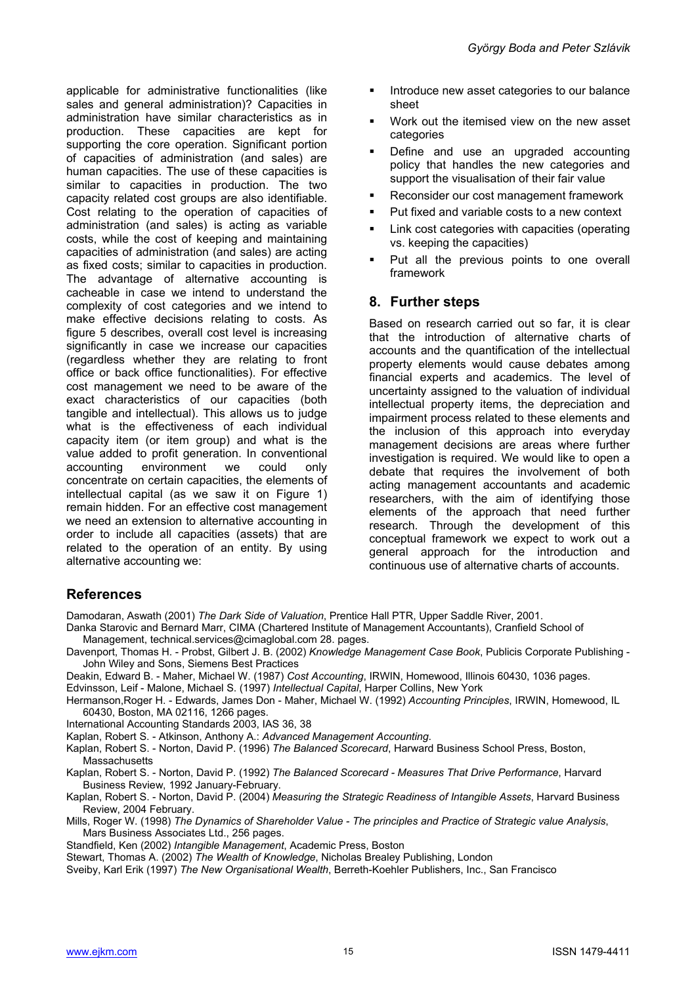applicable for administrative functionalities (like sales and general administration)? Capacities in administration have similar characteristics as in production. These capacities are kept for supporting the core operation. Significant portion of capacities of administration (and sales) are human capacities. The use of these capacities is similar to capacities in production. The two capacity related cost groups are also identifiable. Cost relating to the operation of capacities of administration (and sales) is acting as variable costs, while the cost of keeping and maintaining capacities of administration (and sales) are acting as fixed costs; similar to capacities in production. The advantage of alternative accounting is cacheable in case we intend to understand the complexity of cost categories and we intend to make effective decisions relating to costs. As figure 5 describes, overall cost level is increasing significantly in case we increase our capacities (regardless whether they are relating to front office or back office functionalities). For effective cost management we need to be aware of the exact characteristics of our capacities (both tangible and intellectual). This allows us to judge what is the effectiveness of each individual capacity item (or item group) and what is the value added to profit generation. In conventional accounting environment we could only concentrate on certain capacities, the elements of intellectual capital (as we saw it on Figure 1) remain hidden. For an effective cost management we need an extension to alternative accounting in order to include all capacities (assets) that are related to the operation of an entity. By using alternative accounting we:

- Introduce new asset categories to our balance sheet
- Work out the itemised view on the new asset categories
- Define and use an upgraded accounting policy that handles the new categories and support the visualisation of their fair value
- Reconsider our cost management framework
- **Put fixed and variable costs to a new context**
- Link cost categories with capacities (operating vs. keeping the capacities)
- Put all the previous points to one overall framework

#### **8. Further steps**

Based on research carried out so far, it is clear that the introduction of alternative charts of accounts and the quantification of the intellectual property elements would cause debates among financial experts and academics. The level of uncertainty assigned to the valuation of individual intellectual property items, the depreciation and impairment process related to these elements and the inclusion of this approach into everyday management decisions are areas where further investigation is required. We would like to open a debate that requires the involvement of both acting management accountants and academic researchers, with the aim of identifying those elements of the approach that need further research. Through the development of this conceptual framework we expect to work out a general approach for the introduction and continuous use of alternative charts of accounts.

## **References**

Damodaran, Aswath (2001) *The Dark Side of Valuation*, Prentice Hall PTR, Upper Saddle River, 2001. Danka Starovic and Bernard Marr, CIMA (Chartered Institute of Management Accountants), Cranfield School of

- Management, technical.services@cimaglobal.com 28. pages. Davenport, Thomas H. - Probst, Gilbert J. B. (2002) *Knowledge Management Case Book*, Publicis Corporate Publishing - John Wiley and Sons, Siemens Best Practices
- Deakin, Edward B. Maher, Michael W. (1987) *Cost Accounting*, IRWIN, Homewood, Illinois 60430, 1036 pages.
- Edvinsson, Leif Malone, Michael S. (1997) *Intellectual Capital*, Harper Collins, New York

Hermanson,Roger H. - Edwards, James Don - Maher, Michael W. (1992) *Accounting Principles*, IRWIN, Homewood, IL 60430, Boston, MA 02116, 1266 pages.

International Accounting Standards 2003, IAS 36, 38

Kaplan, Robert S. - Atkinson, Anthony A.: *Advanced Management Accounting*.

Kaplan, Robert S. - Norton, David P. (1996) *The Balanced Scorecard*, Harward Business School Press, Boston, **Massachusetts** 

Kaplan, Robert S. - Norton, David P. (1992) *The Balanced Scorecard - Measures That Drive Performance*, Harvard Business Review, 1992 January-February.

Kaplan, Robert S. - Norton, David P. (2004) *Measuring the Strategic Readiness of Intangible Assets*, Harvard Business Review, 2004 February.

Mills, Roger W. (1998) *The Dynamics of Shareholder Value - The principles and Practice of Strategic value Analysis*, Mars Business Associates Ltd., 256 pages.

Standfield, Ken (2002) *Intangible Management*, Academic Press, Boston

Stewart, Thomas A. (2002) *The Wealth of Knowledge*, Nicholas Brealey Publishing, London

Sveiby, Karl Erik (1997) *The New Organisational Wealth*, Berreth-Koehler Publishers, Inc., San Francisco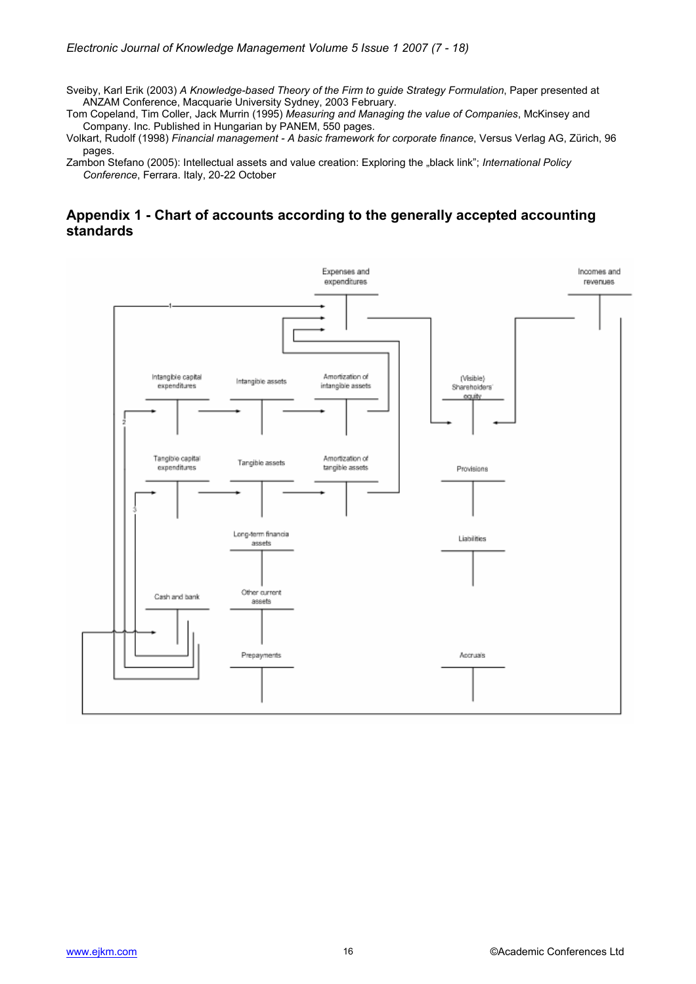Sveiby, Karl Erik (2003) *A Knowledge-based Theory of the Firm to guide Strategy Formulation*, Paper presented at ANZAM Conference, Macquarie University Sydney, 2003 February.

Tom Copeland, Tim Coller, Jack Murrin (1995) *Measuring and Managing the value of Companies*, McKinsey and Company. Inc. Published in Hungarian by PANEM, 550 pages.

Volkart, Rudolf (1998) *Financial management - A basic framework for corporate finance*, Versus Verlag AG, Zürich, 96 pages.

Zambon Stefano (2005): Intellectual assets and value creation: Exploring the "black link"; *International Policy Conference*, Ferrara. Italy, 20-22 October

## **Appendix 1 - Chart of accounts according to the generally accepted accounting standards**

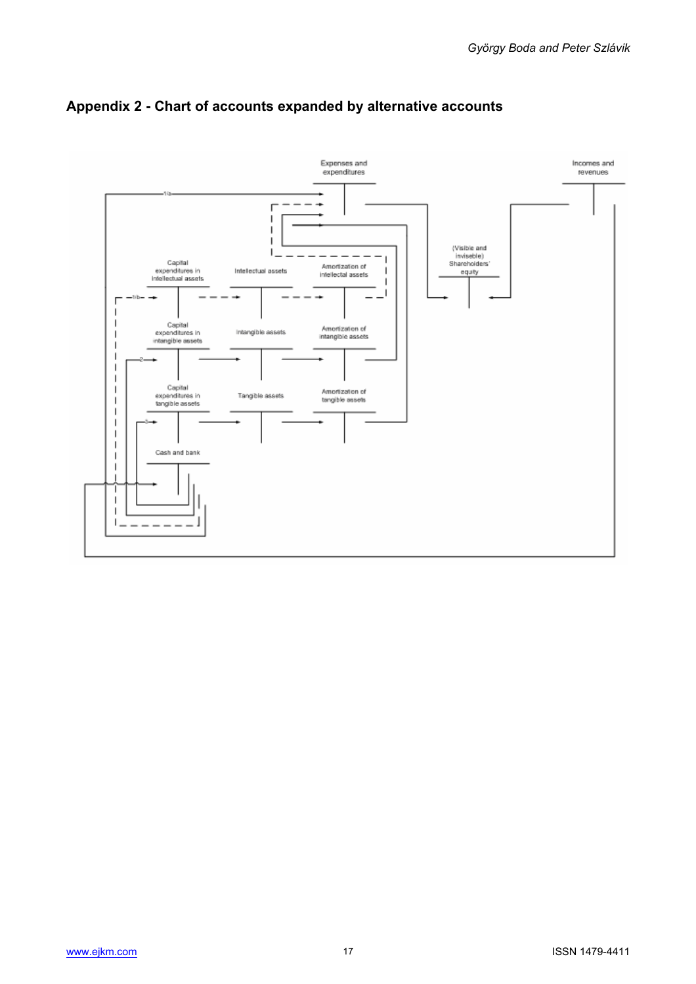

# **Appendix 2 - Chart of accounts expanded by alternative accounts**